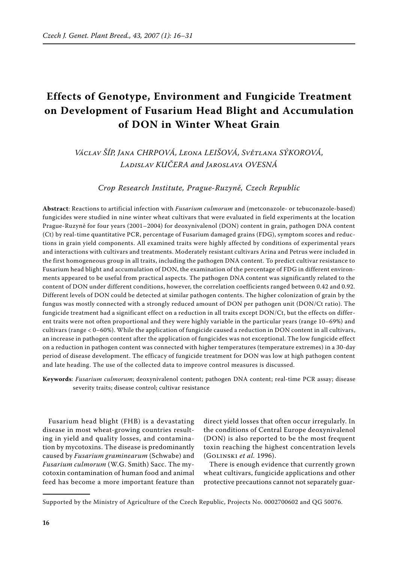# **Effects of Genotype, Environment and Fungicide Treatment on Development of Fusarium Head Blight and Accumulation of DON in Winter Wheat Grain**

*Václav Šíp, Jana Chrpová, Leona Leišová, Světlana Sýkorová, Ladislav Kučera and Jaroslava Ovesná*

# *Crop Research Institute, Prague-Ruzyně, Czech Republic*

**Abstract**: Reactions to artificial infection with *Fusarium culmorum* and (metconazole- or tebuconazole-based) fungicides were studied in nine winter wheat cultivars that were evaluated in field experiments at the location Prague-Ruzyně for four years (2001–2004) for deoxynivalenol (DON) content in grain, pathogen DNA content (Ct) by real-time quantitative PCR, percentage of Fusarium damaged grains (FDG), symptom scores and reductions in grain yield components. All examined traits were highly affected by conditions of experimental years and interactions with cultivars and treatments. Moderately resistant cultivars Arina and Petrus were included in the first homogeneous group in all traits, including the pathogen DNA content. To predict cultivar resistance to Fusarium head blight and accumulation of DON, the examination of the percentage of FDG in different environments appeared to be useful from practical aspects. The pathogen DNA content was significantly related to the content of DON under different conditions, however, the correlation coefficients ranged between 0.42 and 0.92. Different levels of DON could be detected at similar pathogen contents. The higher colonization of grain by the fungus was mostly connected with a strongly reduced amount of DON per pathogen unit (DON/Ct ratio). The fungicide treatment had a significant effect on a reduction in all traits except DON/Ct, but the effects on different traits were not often proportional and they were highly variable in the particular years (range 10–69%) and cultivars (range < 0–60%). While the application of fungicide caused a reduction in DON content in all cultivars, an increase in pathogen content after the application of fungicides was not exceptional. The low fungicide effect on a reduction in pathogen content was connected with higher temperatures (temperature extremes) in a 30-day period of disease development. The efficacy of fungicide treatment for DON was low at high pathogen content and late heading. The use of the collected data to improve control measures is discussed.

**Keywords**: *Fusarium culmorum*; deoxynivalenol content; pathogen DNA content; real-time PCR assay; disease severity traits; disease control; cultivar resistance

Fusarium head blight (FHB) is a devastating disease in most wheat-growing countries resulting in yield and quality losses, and contamination by mycotoxins. The disease is predominantly caused by *Fusarium graminearum* (Schwabe) and *Fusarium culmorum* (W.G. Smith) Sacc. The mycotoxin contamination of human food and animal feed has become a more important feature than

direct yield losses that often occur irregularly. In the conditions of Central Europe deoxynivalenol (DON) is also reported to be the most frequent toxin reaching the highest concentration levels (Golinski *et al.* 1996).

There is enough evidence that currently grown wheat cultivars, fungicide applications and other protective precautions cannot not separately guar-

Supported by the Ministry of Agriculture of the Czech Republic, Projects No. 0002700602 and QG 50076.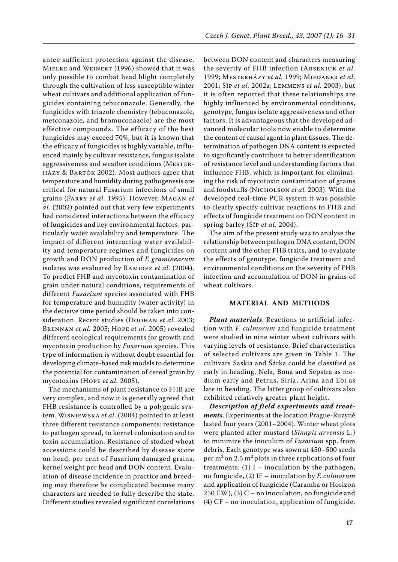antee sufficient protection against the disease. MIELKE and WEINERT (1996) showed that it was only possible to combat head blight completely through the cultivation of less susceptible winter wheat cultivars and additional application of fungicides containing tebuconazole. Generally, the fungicides with triazole chemistry (tebuconazole, metconazole, and bromuconazole) are the most effective compounds. The efficacy of the best fungicides may exceed 70%, but it is known that the efficacy of fungicides is highly variable, influenced mainly by cultivar resistance, fungus isolate aggressiveness and weather conditions (MESTERházy & Bartók 2002). Most authors agree that temperature and humidity during pathogenesis are critical for natural Fusarium infections of small grains (Parry *et al.* 1995). However, Magan *et al.* (2002) pointed out that very few experiments had considered interactions between the efficacy of fungicides and key environmental factors, particularly water availability and temperature. The impact of different interacting water availability and temperature regimes and fungicides on growth and DON production of *F. graminearum* isolates was evaluated by Ramirez *et al.* (2004). To predict FHB and mycotoxin contamination of grain under natural conditions, requirements of different *Fusarium* species associated with FHB for temperature and humidity (water activity) in the decisive time period should be taken into consideration. Recent studies (Doohan *et al.* 2003; Brennan *et al.* 2005; Hope *et al.* 2005) revealed different ecological requirements for growth and mycotoxin production by *Fusarium* species. This type of information is without doubt essential for developing climate-based risk models to determine the potential for contamination of cereal grain by mycotoxins (Hope *et al.* 2005).

The mechanisms of plant resistance to FHB are very complex, and now it is generally agreed that FHB resistance is controlled by a polygenic system. Wisniewska *et al.* (2004) pointed to at least three different resistance components: resistance to pathogen spread, to kernel colonization and to toxin accumulation. Resistance of studied wheat accessions could be described by disease score on head, per cent of Fusarium damaged grains, kernel weight per head and DON content. Evaluation of disease incidence in practice and breeding may therefore be complicated because many characters are needed to fully describe the state. Different studies revealed significant correlations between DON content and characters measuring the severity of FHB infection (Arseniuk *et al.* 1999; Mesterházy *et al.* 1999; Miedaner *et al.* 2001; Šíp *et al.* 2002a; Lemmens *et al.* 2003), but it is often reported that these relationships are highly influenced by environmental conditions, genotype, fungus isolate aggressiveness and other factors. It is advantageous that the developed advanced molecular tools now enable to determine the content of causal agent in plant tissues. The determination of pathogen DNA content is expected to significantly contribute to better identification of resistance level and understanding factors that influence FHB, which is important for eliminating the risk of mycotoxin contamination of grains and foodstuffs (Nicholson *et al.* 2003). With the developed real-time PCR system it was possible to clearly specify cultivar reactions to FHB and effects of fungicide treatment on DON content in spring barley (Šíp *et al.* 2004).

The aim of the present study was to analyse the relationship between pathogen DNA content, DON content and the other FHB traits, and to evaluate the effects of genotype, fungicide treatment and environmental conditions on the severity of FHB infection and accumulation of DON in grains of wheat cultivars.

#### **Material and methods**

*Plant materials*. Reactions to artificial infection with *F. culmorum* and fungicide treatment were studied in nine winter wheat cultivars with varying levels of resistance. Brief characteristics of selected cultivars are given in Table 1. The cultivars Saskia and Šárka could be classified as early in heading, Nela, Bona and Sepstra as medium early and Petrus, Siria, Arina and Ebi as late in heading. The latter group of cultivars also exhibited relatively greater plant height.

*Description of field experiments and treatments*. Experiments at the location Prague-Ruzyně lasted four years (2001–2004). Winter wheat plots were planted after mustard (*Sinapis arvensis* L.) to minimize the inoculum of *Fusarium* spp. from debris. Each genotype was sown at 450–500 seeds per  $m^2$  on 2.5  $m^2$  plots in three replications of four treatments:  $(1)$  I – inoculation by the pathogen, no fungicide, (2) IF – inoculation by *F. culmorum* and application of fungicide (Caramba or Horizon 250 EW), (3)  $C$  – no inoculation, no fungicide and (4) CF – no inoculation, application of fungicide.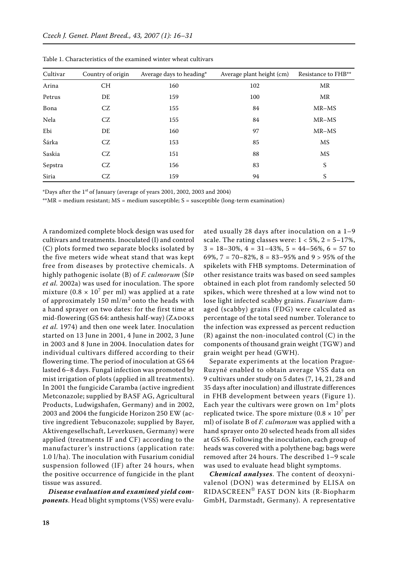| Cultivar | Country of origin | Average days to heading* | Average plant height (cm) | Resistance to FHB** |
|----------|-------------------|--------------------------|---------------------------|---------------------|
| Arina    | <b>CH</b>         | 160                      | 102                       | MR                  |
| Petrus   | DE                | 159                      | 100                       | MR                  |
| Bona     | CZ                | 155                      | 84                        | MR-MS               |
| Nela     | CZ                | 155                      | 84                        | $MR-MS$             |
| Ebi      | DE                | 160                      | 97                        | $MR-MS$             |
| Šárka    | CZ                | 153                      | 85                        | MS                  |
| Saskia   | CZ                | 151                      | 88                        | MS                  |
| Sepstra  | CZ                | 156                      | 83                        | S                   |
| Siria    | CZ                | 159                      | 94                        | S                   |

Table 1. Characteristics of the examined winter wheat cultivars

\*Days after the 1st of January (average of years 2001, 2002, 2003 and 2004)

\*\*MR = medium resistant; MS = medium susceptible; S = susceptible (long-term examination)

A randomized complete block design was used for cultivars and treatments. Inoculated (I) and control (C) plots formed two separate blocks isolated by the five meters wide wheat stand that was kept free from diseases by protective chemicals. A highly pathogenic isolate (B) of *F. culmorum* (Šíp *et al.* 2002a) was used for inoculation. The spore mixture ( $0.8 \times 10^7$  per ml) was applied at a rate of approximately 150 ml/m<sup>2</sup> onto the heads with a hand sprayer on two dates: for the first time at mid-flowering  $(GS 64:$  anthesis half-way)  $(ZADOKS)$ *et al.* 1974) and then one week later. Inoculation started on 13 June in 2001, 4 June in 2002, 3 June in 2003 and 8 June in 2004. Inoculation dates for individual cultivars differed according to their flowering time. The period of inoculation at GS 64 lasted 6–8 days. Fungal infection was promoted by mist irrigation of plots (applied in all treatments). In 2001 the fungicide Caramba (active ingredient Metconazole; supplied by BASF AG, Agricultural Products, Ludwigshafen, Germany) and in 2002, 2003 and 2004 the fungicide Horizon 250 EW (active ingredient Tebuconazole; supplied by Bayer, Aktivengesellschaft, Leverkusen, Germany) were applied (treatments IF and CF) according to the manufacturer's instructions (application rate: 1.0 l/ha). The inoculation with Fusarium conidial suspension followed (IF) after 24 hours, when the positive occurrence of fungicide in the plant tissue was assured.

*Disease evaluation and examined yield components*. Head blight symptoms (VSS) were evaluated usually 28 days after inoculation on a 1–9 scale. The rating classes were:  $1 < 5\%$ ,  $2 = 5-17\%$ ,  $3 = 18 - 30\%$ ,  $4 = 31 - 43\%$ ,  $5 = 44 - 56\%$ ,  $6 = 57$  to 69%, 7 = 70–82%, 8 = 83–95% and 9 > 95% of the spikelets with FHB symptoms. Determination of other resistance traits was based on seed samples obtained in each plot from randomly selected 50 spikes, which were threshed at a low wind not to lose light infected scabby grains. *Fusarium* damaged (scabby) grains (FDG) were calculated as percentage of the total seed number. Tolerance to the infection was expressed as percent reduction (R) against the non-inoculated control (C) in the components of thousand grain weight (TGW) and grain weight per head (GWH).

Separate experiments at the location Prague-Ruzyně enabled to obtain average VSS data on 9 cultivars under study on 5 dates (7, 14, 21, 28 and 35 days after inoculation) and illustrate differences in FHB development between years (Figure 1). Each year the cultivars were grown on  $1m^2$  plots replicated twice. The spore mixture (0.8  $\times$  10<sup>7</sup> per ml) of isolate B of *F. culmorum* was applied with a hand sprayer onto 20 selected heads from all sides at GS 65. Following the inoculation, each group of heads was covered with a polythene bag; bags were removed after 24 hours. The described 1–9 scale was used to evaluate head blight symptoms.

*Chemical analyses*. The content of deoxynivalenol (DON) was determined by ELISA on RIDASCREEN® FAST DON kits (R-Biopharm GmbH, Darmstadt, Germany). A representative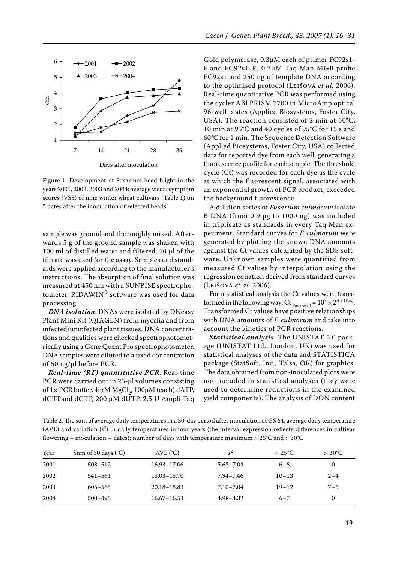

Figure 1. Development of Fusarium head blight in the years 2001, 2002, 2003 and 2004; average visual symptom scores (VSS) of nine winter wheat cultivars (Table 1) on 5 dates after the inoculation of selected heads

sample was ground and thoroughly mixed. Afterwards 5 g of the ground sample was shaken with 100 ml of distilled water and filtered. 50 µl of the filtrate was used for the assay. Samples and standards were applied according to the manufacturer's instructions. The absorption of final solution was measured at 450 nm with a SUNRISE spectrophotometer. RIDAWIN® software was used for data processing.

*DNA isolation*. DNAs were isolated by DNeasy Plant Mini Kit (QIAGEN) from mycelia and from infected/uninfected plant tissues. DNA concentrations and qualities were checked spectrophotometrically using a Gene Quant Pro spectrophotometer. DNA samples were diluted to a fixed concentration of 50 ng/μl before PCR.

*Real-time (RT) quantitative PCR*. Real-time PCR were carried out in 25-μl volumes consisting of 1× PCR buffer, 4mM MgCl<sub>2</sub>, 100μM (each) dATP, dGTPand dCTP, 200 μM dUTP, 2.5 U Ampli Taq

Gold polymerase, 0.3μM each of primer FC92s1- F and FC92s1-R, 0.3μM Taq Man MGB probe FC92s1 and 250 ng of template DNA according to the optimised protocol (Leišová *et al.* 2006). Real-time quantitative PCR was performed using the cycler ABI PRISM 7700 in MicroAmp optical 96-well plates (Applied Biosystems, Foster City, USA). The reaction consisted of 2 min at 50°C, 10 min at 95°C and 40 cycles of 95°C for 15 s and 60°C for 1 min. The Sequence Detection Software (Applied Biosystems, Foster City, USA) collected data for reported dye from each well, generating a fluorescence profile for each sample. The threshold cycle (Ct) was recorded for each dye as the cycle at which the fluorescent signal, associated with an exponential growth of PCR product, exceeded the background fluorescence.

A dilution series of *Fusarium culmorum* isolate B DNA (from 0.9 pg to 1000 ng) was included in triplicate as standards in every Taq Man experiment. Standard curves for *F. culmorum* were generated by plotting the known DNA amounts against the Ct values calculated by the SDS software. Unknown samples were quantified from measured Ct values by interpolation using the regression equation derived from standard curves (Leišová *et al.* 2006).

For a statistical analysis the Ct values were transformed in the following way: Ct  $_{\text{Fus transf}} = 10^7 \times 2^{\text{Ct (Fus)}}$ . Transformed Ct values have positive relationships with DNA amounts of *F. culmorum* and take into account the kinetics of PCR reactions.

*Statistical analysis*. The UNISTAT 5.0 package (UNISTAT Ltd., London, UK) was used for statistical analyses of the data and STATISTICA package (StatSoft, Inc., Tulsa, OK) for graphics. The data obtained from non-inoculated plots were not included in statistical analyses (they were used to determine reductions in the examined yield components). The analysis of DON content

Table 2. The sum of average daily temperatures in a 30-day period after inoculation at GS 64, average daily temperature (AVE) and variation (s<sup>2</sup>) in daily temperatures in four years (the interval expression reflects differences in cultivar flowering – inoculation – dates); number of days with temperature maximum >  $25^{\circ}$ C and >  $30^{\circ}$ C

| Year | Sum of 30 days $(C)$ | $AVE$ ( $^{\circ}C$ ) |               | $>25^{\circ}$ C | $>30^{\circ}$ C |
|------|----------------------|-----------------------|---------------|-----------------|-----------------|
| 2001 | 508-512              | 16.93–17.06           | $5.68 - 7.04$ | $6 - 8$         | $\mathbf{0}$    |
| 2002 | $541 - 561$          | 18.03–18.70           | 7.94–7.46     | $10 - 13$       | $2 - 4$         |
| 2003 | $605 - 565$          | 20.18–18.83           | $7.10 - 7.04$ | $19 - 12$       | $7 - 5$         |
| 2004 | $500 - 496$          | $16.67 - 16.53$       | 4.98–4.32     | $6 - 7$         | $\Omega$        |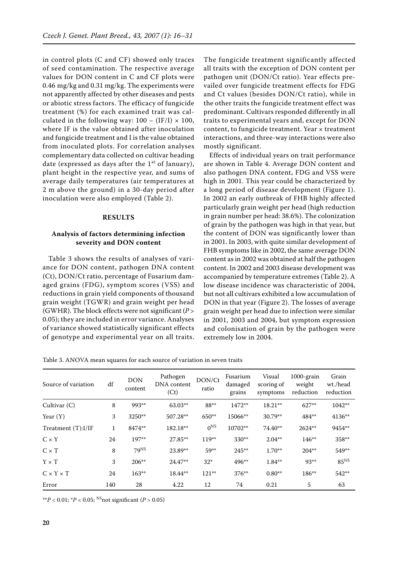in control plots (C and CF) showed only traces of seed contamination. The respective average values for DON content in C and CF plots were 0.46 mg/kg and 0.31 mg/kg. The experiments were not apparently affected by other diseases and pests or abiotic stress factors. The efficacy of fungicide treatment (%) for each examined trait was calculated in the following way:  $100 - (IF/I) \times 100$ , where IF is the value obtained after inoculation and fungicide treatment and I is the value obtained from inoculated plots. For correlation analyses complementary data collected on cultivar heading date (expressed as days after the  $1<sup>st</sup>$  of January), plant height in the respective year, and sums of average daily temperatures (air temperatures at 2 m above the ground) in a 30-day period after inoculation were also employed (Table 2).

#### **Results**

### **Analysis of factors determining infection severity and DON content**

Table 3 shows the results of analyses of variance for DON content, pathogen DNA content (Ct), DON/Ct ratio, percentage of Fusarium damaged grains (FDG), symptom scores (VSS) and reductions in grain yield components of thousand grain weight (TGWR) and grain weight per head (GWHR). The block effects were not significant (*P* > 0.05); they are included in error variance. Analyses of variance showed statistically significant effects of genotype and experimental year on all traits.

The fungicide treatment significantly affected all traits with the exception of DON content per pathogen unit (DON/Ct ratio). Year effects prevailed over fungicide treatment effects for FDG and Ct values (besides DON/Ct ratio), while in the other traits the fungicide treatment effect was predominant. Cultivars responded differently in all traits to experimental years and, except for DON content, to fungicide treatment. Year × treatment interactions, and three-way interactions were also mostly significant.

Effects of individual years on trait performance are shown in Table 4. Average DON content and also pathogen DNA content, FDG and VSS were high in 2001. This year could be characterized by a long period of disease development (Figure 1). In 2002 an early outbreak of FHB highly affected particularly grain weight per head (high reduction in grain number per head: 38.6%). The colonization of grain by the pathogen was high in that year, but the content of DON was significantly lower than in 2001. In 2003, with quite similar development of FHB symptoms like in 2002, the same average DON content as in 2002 was obtained at half the pathogen content. In 2002 and 2003 disease development was accompanied by temperature extremes (Table 2). A low disease incidence was characteristic of 2004, but not all cultivars exhibited a low accumulation of DON in that year (Figure 2). The losses of average grain weight per head due to infection were similar in 2001, 2003 and 2004, but symptom expression and colonisation of grain by the pathogen were extremely low in 2004.

Table 3. ANOVA mean squares for each source of variation in seven traits

| Source of variation   | df  | <b>DON</b><br>content | Pathogen<br>DNA content<br>(Ct) | DON/Ct<br>ratio | Fusarium<br>damaged<br>grains | Visual<br>scoring of<br>symptoms | $1000$ -grain<br>weight<br>reduction | Grain<br>wt./head<br>reduction |
|-----------------------|-----|-----------------------|---------------------------------|-----------------|-------------------------------|----------------------------------|--------------------------------------|--------------------------------|
| Cultivar $(C)$        | 8   | 993**                 | 63.03**                         | 88**            | 1472**                        | $18.21**$                        | $627**$                              | $1042**$                       |
| Year $(Y)$            | 3   | 3250**                | 507.28**                        | 650**           | 15066**                       | $30.79**$                        | 484**                                | 4136**                         |
| Treatment $(T):I/IF$  |     | 8474**                | 182.18**                        | 0 <sup>NS</sup> | 10702**                       | 74.40**                          | $2624**$                             | 9454**                         |
| $C \times Y$          | 24  | $197**$               | 27.85**                         | $119***$        | 330**                         | $2.04**$                         | $146**$                              | $358**$                        |
| $C \times T$          | 8   | $79^{NS}$             | 23.89**                         | 59**            | $245***$                      | $1.70**$                         | $204***$                             | 549**                          |
| $Y \times T$          | 3   | $206***$              | 24.47**                         | $32*$           | $496***$                      | $1.84**$                         | $93**$                               | $85^{NS}$                      |
| $C \times Y \times T$ | 24  | $163***$              | 18.44**                         | $121***$        | $376**$                       | $0.80**$                         | 186**                                | $542**$                        |
| Error                 | 140 | 28                    | 4.22                            | 12              | 74                            | 0.21                             | 5                                    | 63                             |

\*\**P* < 0.01; \**P* < 0.05; <sup>NS</sup>not significant (*P* > 0.05)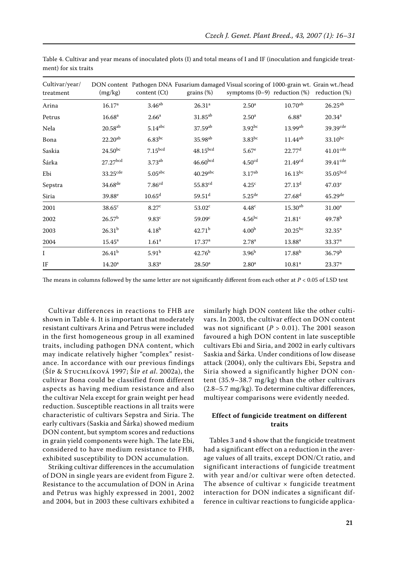| Cultivar/year/<br>treatment | (mg/kg)                | content (Ct)          | DON content Pathogen DNA Fusarium damaged Visual scoring of 1000-grain wt. Grain wt./head<br>grains (%) | symptoms $(0-9)$ reduction $(\%)$ |                       | reduction (%)          |
|-----------------------------|------------------------|-----------------------|---------------------------------------------------------------------------------------------------------|-----------------------------------|-----------------------|------------------------|
| Arina                       | 16.17 <sup>a</sup>     | 3.46 <sup>ab</sup>    | $26.31^{a}$                                                                                             | 2.50 <sup>a</sup>                 | $10.70$ <sup>ab</sup> | $26.25^{ab}$           |
| Petrus                      | 16.68 <sup>a</sup>     | 2.66 <sup>a</sup>     | 31.85 <sup>ab</sup>                                                                                     | 2.50 <sup>a</sup>                 | 6.88 <sup>a</sup>     | $20.34^{a}$            |
| Nela                        | $20.58$ <sup>ab</sup>  | $5.14$ <sup>abc</sup> | 37.59ab                                                                                                 | $3.92^{bc}$                       | 13.99ab               | 39.39 <sup>cde</sup>   |
| Bona                        | $22.20^{ab}$           | $6.83^{bc}$           | 35.98 <sup>ab</sup>                                                                                     | $3.83^{bc}$                       | $11.44^{ab}$          | $33.10^{bc}$           |
| Saskia                      | $24.50^{bc}$           | 7.15 <sup>bcd</sup>   | 48.15 <sup>bcd</sup>                                                                                    | $5.67$ <sup>e</sup>               | $22.77$ <sup>d</sup>  | $41.01$ <sup>cde</sup> |
| Šárka                       | 27.27 <sup>bcd</sup>   | $3.73^{ab}$           | 46.60 <sup>bcd</sup>                                                                                    | 4.50 <sup>cd</sup>                | 21.49 <sup>cd</sup>   | $39.41$ <sup>cde</sup> |
| Ebi                         | $33.25$ <sup>cde</sup> | $5.05$ <sup>abc</sup> | $40.29$ abc                                                                                             | 3.17 <sup>ab</sup>                | $16.13^{bc}$          | 35.05 <sup>bcd</sup>   |
| Sepstra                     | $34.68^{de}$           | 7.86 <sup>cd</sup>    | 55.83 <sup>cd</sup>                                                                                     | 4.25 <sup>c</sup>                 | $27.13^{d}$           | $47.03^e$              |
| Siria                       | 39.88 <sup>e</sup>     | $10.65^{\rm d}$       | $59.51$ <sup>d</sup>                                                                                    | $5.25$ <sup>de</sup>              | 27.68 <sup>d</sup>    | $45.29$ <sup>de</sup>  |
| 2001                        | $38.65^{\circ}$        | 8.27 <sup>c</sup>     | $53.02^{\circ}$                                                                                         | 4.48 <sup>c</sup>                 | 15.30 <sup>ab</sup>   | 31.00 <sup>a</sup>     |
| 2002                        | 26.57 <sup>b</sup>     | 9.83 <sup>c</sup>     | 59.09 <sup>c</sup>                                                                                      | $4.56^{bc}$                       | $21.81$ <sup>c</sup>  | $49.78^{b}$            |
| 2003                        | $26.31^{b}$            | 4.18 <sup>b</sup>     | 42.71 <sup>b</sup>                                                                                      | 4.00 <sup>b</sup>                 | $20.25^{bc}$          | $32.35^a$              |
| 2004                        | $15.45^{\rm a}$        | 1.61 <sup>a</sup>     | 17.37 <sup>a</sup>                                                                                      | $2.78^{a}$                        | $13.88^{a}$           | 33.37 <sup>a</sup>     |
| I                           | $26.41^{b}$            | 5.91 <sup>b</sup>     | $42.76^{b}$                                                                                             | 3.96 <sup>b</sup>                 | $17.88^{b}$           | 36.79 <sup>b</sup>     |
| IF                          | 14.20 <sup>a</sup>     | 3.83 <sup>a</sup>     | 28.50 <sup>a</sup>                                                                                      | 2.80 <sup>a</sup>                 | 10.81 <sup>a</sup>    | 23.37 <sup>a</sup>     |

Table 4. Cultivar and year means of inoculated plots (I) and total means of I and IF (inoculation and fungicide treatment) for six traits

The means in columns followed by the same letter are not significantly different from each other at *P* < 0.05 of LSD test

Cultivar differences in reactions to FHB are shown in Table 4. It is important that moderately resistant cultivars Arina and Petrus were included in the first homogeneous group in all examined traits, including pathogen DNA content, which may indicate relatively higher "complex" resistance. In accordance with our previous findings (Šíp & Stuchlíková 1997; Šíp *et al*. 2002a), the cultivar Bona could be classified from different aspects as having medium resistance and also the cultivar Nela except for grain weight per head reduction. Susceptible reactions in all traits were characteristic of cultivars Sepstra and Siria. The early cultivars (Saskia and Šárka) showed medium DON content, but symptom scores and reductions in grain yield components were high. The late Ebi, considered to have medium resistance to FHB, exhibited susceptibility to DON accumulation.

Striking cultivar differences in the accumulation of DON in single years are evident from Figure 2. Resistance to the accumulation of DON in Arina and Petrus was highly expressed in 2001, 2002 and 2004, but in 2003 these cultivars exhibited a

similarly high DON content like the other cultivars. In 2003, the cultivar effect on DON content was not significant  $(P > 0.01)$ . The 2001 season favoured a high DON content in late susceptible cultivars Ebi and Siria, and 2002 in early cultivars Saskia and Šárka. Under conditions of low disease attack (2004), only the cultivars Ebi, Sepstra and Siria showed a significantly higher DON content (35.9–38.7 mg/kg) than the other cultivars (2.8–5.7 mg/kg). To determine cultivar differences, multiyear comparisons were evidently needed.

# **Effect of fungicide treatment on different traits**

Tables 3 and 4 show that the fungicide treatment had a significant effect on a reduction in the average values of all traits, except DON/Ct ratio, and significant interactions of fungicide treatment with year and/or cultivar were often detected. The absence of cultivar  $\times$  fungicide treatment interaction for DON indicates a significant difference in cultivar reactions to fungicide applica-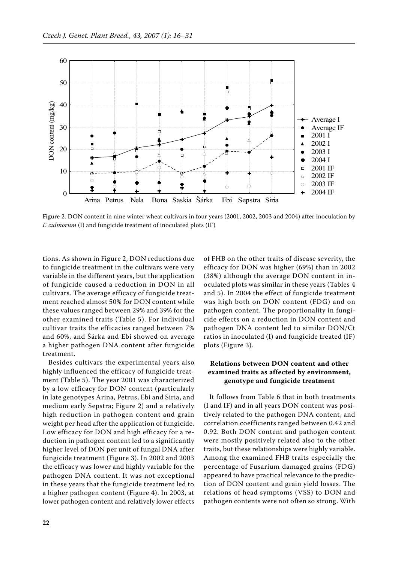

Figure 2. DON content in nine winter wheat cultivars in four years (2001, 2002, 2003 and 2004) after inoculation by *F. culmorum* (I) and fungicide treatment of inoculated plots (IF)

tions. As shown in Figure 2, DON reductions due to fungicide treatment in the cultivars were very variable in the different years, but the application of fungicide caused a reduction in DON in all cultivars. The average efficacy of fungicide treatment reached almost 50% for DON content while these values ranged between 29% and 39% for the other examined traits (Table 5). For individual cultivar traits the efficacies ranged between 7% and 60%, and Šárka and Ebi showed on average a higher pathogen DNA content after fungicide treatment.

Besides cultivars the experimental years also highly influenced the efficacy of fungicide treatment (Table 5). The year 2001 was characterized by a low efficacy for DON content (particularly in late genotypes Arina, Petrus, Ebi and Siria, and medium early Sepstra; Figure 2) and a relatively high reduction in pathogen content and grain weight per head after the application of fungicide. Low efficacy for DON and high efficacy for a reduction in pathogen content led to a significantly higher level of DON per unit of fungal DNA after fungicide treatment (Figure 3). In 2002 and 2003 the efficacy was lower and highly variable for the pathogen DNA content. It was not exceptional in these years that the fungicide treatment led to a higher pathogen content (Figure 4). In 2003, at lower pathogen content and relatively lower effects of FHB on the other traits of disease severity, the efficacy for DON was higher (69%) than in 2002 (38%) although the average DON content in inoculated plots was similar in these years (Tables 4 and 5). In 2004 the effect of fungicide treatment was high both on DON content (FDG) and on pathogen content. The proportionality in fungicide effects on a reduction in DON content and pathogen DNA content led to similar DON/Ct ratios in inoculated (I) and fungicide treated (IF) plots (Figure 3).

## **Relations between DON content and other examined traits as affected by environment, genotype and fungicide treatment**

It follows from Table 6 that in both treatments (I and IF) and in all years DON content was positively related to the pathogen DNA content, and correlation coefficients ranged between 0.42 and 0.92. Both DON content and pathogen content were mostly positively related also to the other traits, but these relationships were highly variable. Among the examined FHB traits especially the percentage of Fusarium damaged grains (FDG) appeared to have practical relevance to the prediction of DON content and grain yield losses. The relations of head symptoms (VSS) to DON and pathogen contents were not often so strong. With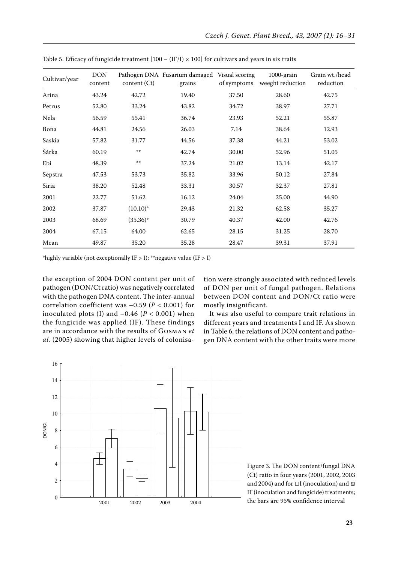| Cultivar/year | <b>DON</b><br>content | content (Ct) | Pathogen DNA Fusarium damaged Visual scoring<br>grains | of symptoms | 1000-grain<br>weeght reduction | Grain wt./head<br>reduction |
|---------------|-----------------------|--------------|--------------------------------------------------------|-------------|--------------------------------|-----------------------------|
| Arina         | 43.24                 | 42.72        | 19.40                                                  | 37.50       | 28.60                          | 42.75                       |
| Petrus        | 52.80                 | 33.24        | 43.82                                                  | 34.72       | 38.97                          | 27.71                       |
| Nela          | 56.59                 | 55.41        | 36.74                                                  | 23.93       | 52.21                          | 55.87                       |
| Bona          | 44.81                 | 24.56        | 26.03                                                  | 7.14        | 38.64                          | 12.93                       |
| Saskia        | 57.82                 | 31.77        | 44.56                                                  | 37.38       | 44.21                          | 53.02                       |
| Šárka         | 60.19                 | $\pm$ $\pm$  | 42.74                                                  | 30.00       | 52.96                          | 51.05                       |
| Ebi           | 48.39                 | $\eta_1$ at  | 37.24                                                  | 21.02       | 13.14                          | 42.17                       |
| Sepstra       | 47.53                 | 53.73        | 35.82                                                  | 33.96       | 50.12                          | 27.84                       |
| Siria         | 38.20                 | 52.48        | 33.31                                                  | 30.57       | 32.37                          | 27.81                       |
| 2001          | 22.77                 | 51.62        | 16.12                                                  | 24.04       | 25.00                          | 44.90                       |
| 2002          | 37.87                 | $(10.10)^*$  | 29.43                                                  | 21.32       | 62.58                          | 35.27                       |
| 2003          | 68.69                 | $(35.36)^*$  | 30.79                                                  | 40.37       | 42.00                          | 42.76                       |
| 2004          | 67.15                 | 64.00        | 62.65                                                  | 28.15       | 31.25                          | 28.70                       |
| Mean          | 49.87                 | 35.20        | 35.28                                                  | 28.47       | 39.31                          | 37.91                       |

Table 5. Efficacy of fungicide treatment  $[100 - (IF/I) \times 100]$  for cultivars and years in six traits

\*highly variable (not exceptionally IF  $>$  I); \*\*negative value (IF  $>$  I)

the exception of 2004 DON content per unit of pathogen (DON/Ct ratio) was negatively correlated with the pathogen DNA content. The inter-annual correlation coefficient was  $-0.59$  ( $P < 0.001$ ) for inoculated plots (I) and  $-0.46$  ( $P < 0.001$ ) when the fungicide was applied (IF). These findings are in accordance with the results of Gosman *et al.* (2005) showing that higher levels of colonisation were strongly associated with reduced levels of DON per unit of fungal pathogen. Relations between DON content and DON/Ct ratio were mostly insignificant.

It was also useful to compare trait relations in different years and treatments I and IF. As shown in Table 6, the relations of DON content and pathogen DNA content with the other traits were more



 I IF (inoculation and fungicide) treatments; Figure 3. The DON content/fungal DNA (Ct) ratio in four years (2001, 2002, 2003 and 2004) and for  $\Box$  I (inoculation) and  $\Box$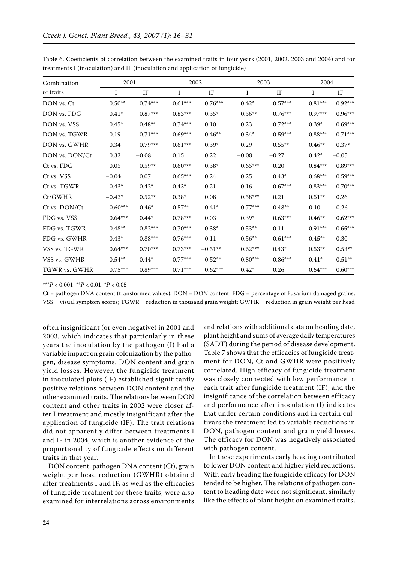| Combination    | 2001       |           |           | 2002      | 2003       |           | 2004      |           |
|----------------|------------|-----------|-----------|-----------|------------|-----------|-----------|-----------|
| of traits      | I          | IF        | Ι         | IF        | I          | IF        | I         | IF        |
| DON vs. Ct     | $0.50**$   | $0.74***$ | $0.61***$ | $0.76***$ | $0.42*$    | $0.57***$ | $0.81***$ | $0.92***$ |
| DON vs. FDG    | $0.41*$    | $0.87***$ | $0.83***$ | $0.35*$   | $0.56**$   | $0.76***$ | $0.97***$ | $0.96***$ |
| DON vs. VSS    | $0.45*$    | $0.48**$  | $0.74***$ | 0.10      | 0.23       | $0.72***$ | $0.39*$   | $0.69***$ |
| DON vs. TGWR   | 0.19       | $0.71***$ | $0.69***$ | $0.46**$  | $0.34*$    | $0.59***$ | $0.88***$ | $0.71***$ |
| DON vs. GWHR   | 0.34       | $0.79***$ | $0.61***$ | $0.39*$   | 0.29       | $0.55**$  | $0.46**$  | $0.37*$   |
| DON vs. DON/Ct | 0.32       | $-0.08$   | 0.15      | 0.22      | $-0.08$    | $-0.27$   | $0.42*$   | $-0.05$   |
| Ct vs. FDG     | 0.05       | $0.59**$  | $0.60***$ | $0.38*$   | $0.65***$  | 0.20      | $0.84***$ | $0.89***$ |
| Ct vs. VSS     | $-0.04$    | 0.07      | $0.65***$ | 0.24      | 0.25       | $0.43*$   | $0.68***$ | $0.59***$ |
| Ct vs. TGWR    | $-0.43*$   | $0.42*$   | $0.43*$   | 0.21      | 0.16       | $0.67***$ | $0.83***$ | $0.70***$ |
| Ct/GWHR        | $-0.43*$   | $0.52**$  | $0.38*$   | 0.08      | $0.58***$  | 0.21      | $0.51**$  | 0.26      |
| Ct vs. DON/Ct  | $-0.60***$ | $-0.46*$  | $-0.57**$ | $-0.41*$  | $-0.77***$ | $-0.48**$ | $-0.10$   | $-0.26$   |
| FDG vs. VSS    | $0.64***$  | $0.44*$   | $0.78***$ | 0.03      | $0.39*$    | $0.63***$ | $0.46**$  | $0.62***$ |
| FDG vs. TGWR   | $0.48**$   | $0.82***$ | $0.70***$ | $0.38*$   | $0.53**$   | 0.11      | $0.91***$ | $0.65***$ |
| FDG vs. GWHR   | $0.43*$    | $0.88***$ | $0.76***$ | $-0.11$   | $0.56**$   | $0.61***$ | $0.45***$ | 0.30      |
| VSS vs. TGWR   | $0.64***$  | $0.70***$ | $0.73***$ | $-0.51**$ | $0.62***$  | $0.43*$   | $0.53**$  | $0.53**$  |
| VSS vs. GWHR   | $0.54**$   | $0.44*$   | $0.77***$ | $-0.52**$ | $0.80***$  | $0.86***$ | $0.41*$   | $0.51***$ |
| TGWR vs. GWHR  | $0.75***$  | $0.89***$ | $0.71***$ | $0.62***$ | $0.42*$    | 0.26      | $0.64***$ | $0.60***$ |

Table 6. Coefficients of correlation between the examined traits in four years (2001, 2002, 2003 and 2004) and for treatments I (inoculation) and IF (inoculation and application of fungicide)

\*\*\**P* < 0.001, \*\**P* < 0.01, \**P* < 0.05

Ct = pathogen DNA content (transformed values); DON = DON content; FDG = percentage of Fusarium damaged grains; VSS = visual symptom scores; TGWR = reduction in thousand grain weight; GWHR = reduction in grain weight per head

often insignificant (or even negative) in 2001 and 2003, which indicates that particularly in these years the inoculation by the pathogen (I) had a variable impact on grain colonization by the pathogen, disease symptoms, DON content and grain yield losses. However, the fungicide treatment in inoculated plots (IF) established significantly positive relations between DON content and the other examined traits. The relations between DON content and other traits in 2002 were closer after I treatment and mostly insignificant after the application of fungicide (IF). The trait relations did not apparently differ between treatments I and IF in 2004, which is another evidence of the proportionality of fungicide effects on different traits in that year.

DON content, pathogen DNA content (Ct), grain weight per head reduction (GWHR) obtained after treatments I and IF, as well as the efficacies of fungicide treatment for these traits, were also examined for interrelations across environments

and relations with additional data on heading date, plant height and sums of average daily temperatures (SADT) during the period of disease development. Table 7 shows that the efficacies of fungicide treatment for DON, Ct and GWHR were positively correlated. High efficacy of fungicide treatment was closely connected with low performance in each trait after fungicide treatment (IF), and the insignificance of the correlation between efficacy and performance after inoculation (I) indicates that under certain conditions and in certain cultivars the treatment led to variable reductions in DON, pathogen content and grain yield losses. The efficacy for DON was negatively associated with pathogen content.

In these experiments early heading contributed to lower DON content and higher yield reductions. With early heading the fungicide efficacy for DON tended to be higher. The relations of pathogen content to heading date were not significant, similarly like the effects of plant height on examined traits,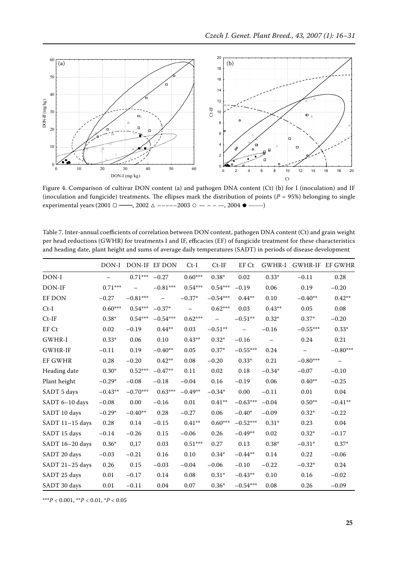

Figure 4. Comparison of cultivar DON content (a) and pathogen DNA content (Ct) (b) for I (inoculation) and IF (inoculation and fungicide) treatments. The ellipses mark the distribution of points (*P* = 95%) belonging to single experimental years (2001 □ ──, 2002 △ –––––2003 ○ — – – – –, 2004 ● ⋅•••••••••)

| Table 7. Inter-annual coefficients of correlation between DON content, pathogen DNA content (Ct) and grain weight    |
|----------------------------------------------------------------------------------------------------------------------|
| per head reductions (GWHR) for treatments I and IF, efficacies (EF) of fungicide treatment for these characteristics |
| and heading date, plant height and sums of average daily temperatures (SADT) in periods of disease development       |

|                 |           | DON-I DON-IF EF DON      |            | $Ct-I$    | $Ct-IF$    | EF Ct                    | GWHR-I   |            | <b>GWHR-IF EF GWHR</b>   |
|-----------------|-----------|--------------------------|------------|-----------|------------|--------------------------|----------|------------|--------------------------|
| DON-I           |           | $0.71***$                | $-0.27$    | $0.60***$ | $0.38*$    | 0.02                     | $0.33*$  | $-0.11$    | 0.28                     |
| DON-IF          | $0.71***$ | $\overline{\phantom{0}}$ | $-0.81***$ | $0.54***$ | $0.54***$  | $-0.19$                  | 0.06     | 0.19       | $-0.20$                  |
| EF DON          | $-0.27$   | $-0.81***$               |            | $-0.37*$  | $-0.54***$ | $0.44**$                 | 0.10     | $-0.40**$  | $0.42**$                 |
| $Ct-I$          | $0.60***$ | $0.54***$                | $-0.37*$   |           | $0.62***$  | 0.03                     | $0.43**$ | 0.05       | 0.08                     |
| $Ct-IF$         | $0.38*$   | $0.54***$                | $-0.54***$ | $0.62***$ |            | $-0.51**$                | $0.32*$  | $0.37*$    | $-0.20$                  |
| EF Ct           | 0.02      | $-0.19$                  | $0.44***$  | 0.03      | $-0.51**$  | $\overline{\phantom{0}}$ | $-0.16$  | $-0.55***$ | $0.33*$                  |
| GWHR-I          | $0.33*$   | 0.06                     | 0.10       | $0.43**$  | $0.32*$    | $-0.16$                  |          | 0.24       | 0.21                     |
| <b>GWHR-IF</b>  | $-0.11$   | 0.19                     | $-0.40**$  | 0.05      | $0.37*$    | $-0.55***$               | 0.24     |            | $-0.80***$               |
| <b>EF GWHR</b>  | 0.28      | $-0.20$                  | $0.42**$   | 0.08      | $-0.20$    | $0.33*$                  | 0.21     | $-0.80***$ | $\overline{\phantom{0}}$ |
| Heading date    | $0.30*$   | $0.52***$                | $-0.47**$  | 0.11      | 0.02       | 0.18                     | $-0.34*$ | $-0.07$    | $-0.10$                  |
| Plant height    | $-0.29*$  | $-0.08$                  | $-0.18$    | $-0.04$   | 0.16       | $-0.19$                  | 0.06     | $0.40**$   | $-0.25$                  |
| SADT 5 days     | $-0.43**$ | $-0.70***$               | $0.63***$  | $-0.49**$ | $-0.34*$   | 0.00                     | $-0.11$  | 0.01       | 0.04                     |
| SADT 6-10 days  | $-0.08$   | 0.00                     | $-0.16$    | 0.01      | $0.41**$   | $-0.63***$               | $-0.04$  | $0.50**$   | $-0.41**$                |
| SADT 10 days    | $-0.29*$  | $-0.40**$                | 0.28       | $-0.27$   | 0.06       | $-0.40*$                 | $-0.09$  | $0.32*$    | $-0.22$                  |
| SADT 11-15 days | 0.28      | 0.14                     | $-0.15$    | $0.41**$  | $0.60***$  | $-0.52***$               | $0.31*$  | 0.23       | 0.04                     |
| SADT 15 days    | $-0.14$   | $-0.26$                  | 0.15       | $-0.06$   | 0.26       | $-0.49**$                | 0.02     | $0.32*$    | $-0.17$                  |
| SADT 16-20 days | $0.36*$   | 0,17                     | 0.03       | $0.51***$ | 0.27       | 0.13                     | $0.38*$  | $-0.31*$   | $0.37*$                  |
| SADT 20 days    | $-0.03$   | $-0.21$                  | 0.16       | 0.10      | $0.34*$    | $-0.44**$                | 0.14     | 0.22       | $-0.06$                  |
| SADT 21-25 days | 0.26      | 0.15                     | $-0.03$    | $-0.04$   | $-0.06$    | $-0.10$                  | $-0.22$  | $-0.32*$   | 0.24                     |
| SADT 25 days    | 0.01      | $-0.17$                  | 0.14       | 0.08      | $0.31*$    | $-0.43**$                | 0.10     | 0.16       | $-0.02$                  |
| SADT 30 days    | 0.01      | $-0.11$                  | 0.04       | 0.07      | $0.36*$    | $-0.54***$               | 0.08     | 0.26       | $-0.09$                  |

\*\*\**P* < 0.001, \*\**P* < 0.01, \**P* < 0.05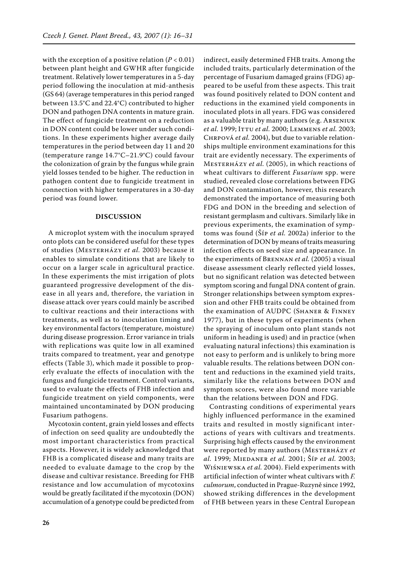with the exception of a positive relation  $(P < 0.01)$ between plant height and GWHR after fungicide treatment. Relatively lower temperatures in a 5-day period following the inoculation at mid-anthesis (GS 64) (average temperatures in this period ranged between 13.5°C and 22.4°C) contributed to higher DON and pathogen DNA contents in mature grain. The effect of fungicide treatment on a reduction in DON content could be lower under such conditions. In these experiments higher average daily temperatures in the period between day 11 and 20 (temperature range 14.7°C–21.9°C) could favour the colonization of grain by the fungus while grain yield losses tended to be higher. The reduction in pathogen content due to fungicide treatment in connection with higher temperatures in a 30-day period was found lower.

#### **Discussion**

A microplot system with the inoculum sprayed onto plots can be considered useful for these types of studies (Mesterházy *et al.* 2003) because it enables to simulate conditions that are likely to occur on a larger scale in agricultural practice. In these experiments the mist irrigation of plots guaranteed progressive development of the disease in all years and, therefore, the variation in disease attack over years could mainly be ascribed to cultivar reactions and their interactions with treatments, as well as to inoculation timing and key environmental factors (temperature, moisture) during disease progression. Error variance in trials with replications was quite low in all examined traits compared to treatment, year and genotype effects (Table 3), which made it possible to properly evaluate the effects of inoculation with the fungus and fungicide treatment. Control variants, used to evaluate the effects of FHB infection and fungicide treatment on yield components, were maintained uncontaminated by DON producing Fusarium pathogens.

Mycotoxin content, grain yield losses and effects of infection on seed quality are undoubtedly the most important characteristics from practical aspects. However, it is widely acknowledged that FHB is a complicated disease and many traits are needed to evaluate damage to the crop by the disease and cultivar resistance. Breeding for FHB resistance and low accumulation of mycotoxins would be greatly facilitated if the mycotoxin (DON) accumulation of a genotype could be predicted from

indirect, easily determined FHB traits. Among the included traits, particularly determination of the percentage of Fusarium damaged grains (FDG) appeared to be useful from these aspects. This trait was found positively related to DON content and reductions in the examined yield components in inoculated plots in all years. FDG was considered as a valuable trait by many authors (e.g. Arseniuk *et al.* 1999; Ittu *et al.* 2000; Lemmens *et al.* 2003; Chrpová *et al.* 2004), but due to variable relationships multiple environment examinations for this trait are evidently necessary. The experiments of Mesterházy *et al.* (2005), in which reactions of wheat cultivars to different *Fusarium* spp. were studied, revealed close correlations between FDG and DON contamination, however, this research demonstrated the importance of measuring both FDG and DON in the breeding and selection of resistant germplasm and cultivars. Similarly like in previous experiments, the examination of symptoms was found (Šíp *et al.* 2002a) inferior to the determination of DON by means of traits measuring infection effects on seed size and appearance. In the experiments of Brennan *et al.* (2005) a visual disease assessment clearly reflected yield losses, but no significant relation was detected between symptom scoring and fungal DNA content of grain. Stronger relationships between symptom expression and other FHB traits could be obtained from the examination of AUDPC (Shaner & Finney 1977), but in these types of experiments (when the spraying of inoculum onto plant stands not uniform in heading is used) and in practice (when evaluating natural infections) this examination is not easy to perform and is unlikely to bring more valuable results. The relations between DON content and reductions in the examined yield traits, similarly like the relations between DON and symptom scores, were also found more variable than the relations between DON and FDG.

Contrasting conditions of experimental years highly influenced performance in the examined traits and resulted in mostly significant interactions of years with cultivars and treatments. Surprising high effects caused by the environment were reported by many authors (MESTERHÁZY et *al.* 1999; Miedaner *et al.* 2001; Šíp *et al.* 2003; Wiśniewska *et al.* 2004). Field experiments with artificial infection of winter wheat cultivars with *F. culmorum*, conducted in Prague-Ruzyně since 1992, showed striking differences in the development of FHB between years in these Central European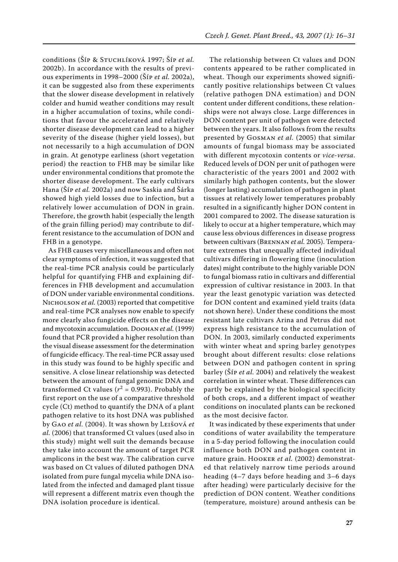conditions (Šíp & Stuchlíková 1997; Šíp *et al.* 2002b). In accordance with the results of previous experiments in 1998–2000 (Šíp *et al.* 2002a), it can be suggested also from these experiments that the slower disease development in relatively colder and humid weather conditions may result in a higher accumulation of toxins, while conditions that favour the accelerated and relatively shorter disease development can lead to a higher severity of the disease (higher yield losses), but not necessarily to a high accumulation of DON in grain. At genotype earliness (short vegetation period) the reaction to FHB may be similar like under environmental conditions that promote the shorter disease development. The early cultivars Hana (Šíp *et al.* 2002a) and now Saskia and Šárka showed high yield losses due to infection, but a relatively lower accumulation of DON in grain. Therefore, the growth habit (especially the length of the grain filling period) may contribute to different resistance to the accumulation of DON and FHB in a genotype.

As FHB causes very miscellaneous and often not clear symptoms of infection, it was suggested that the real-time PCR analysis could be particularly helpful for quantifying FHB and explaining differences in FHB development and accumulation of DON under variable environmental conditions. NICHOLSON *et al.* (2003) reported that competitive and real-time PCR analyses now enable to specify more clearly also fungicide effects on the disease and mycotoxin accumulation. Doohan *et al.* (1999) found that PCR provided a higher resolution than the visual disease assessment for the determination of fungicide efficacy. The real-time PCR assay used in this study was found to be highly specific and sensitive. A close linear relationship was detected between the amount of fungal genomic DNA and transformed Ct values  $(r^2 = 0.993)$ . Probably the first report on the use of a comparative threshold cycle (Ct) method to quantify the DNA of a plant pathogen relative to its host DNA was published by Gao *et al.* (2004). It was shown by Leišová *et al.* (2006) that transformed Ct values (used also in this study) might well suit the demands because they take into account the amount of target PCR amplicons in the best way. The calibration curve was based on Ct values of diluted pathogen DNA isolated from pure fungal mycelia while DNA isolated from the infected and damaged plant tissue will represent a different matrix even though the DNA isolation procedure is identical.

The relationship between Ct values and DON contents appeared to be rather complicated in wheat. Though our experiments showed significantly positive relationships between Ct values (relative pathogen DNA estimation) and DON content under different conditions, these relationships were not always close. Large differences in DON content per unit of pathogen were detected between the years. It also follows from the results presented by Gosman *et al.* (2005) that similar amounts of fungal biomass may be associated with different mycotoxin contents or *vice-versa*. Reduced levels of DON per unit of pathogen were characteristic of the years 2001 and 2002 with similarly high pathogen contents, but the slower (longer lasting) accumulation of pathogen in plant tissues at relatively lower temperatures probably resulted in a significantly higher DON content in 2001 compared to 2002. The disease saturation is likely to occur at a higher temperature, which may cause less obvious differences in disease progress between cultivars (Brennan *et al.* 2005). Temperature extremes that unequally affected individual cultivars differing in flowering time (inoculation dates) might contribute to the highly variable DON to fungal biomass ratio in cultivars and differential expression of cultivar resistance in 2003. In that year the least genotypic variation was detected for DON content and examined yield traits (data not shown here). Under these conditions the most resistant late cultivars Arina and Petrus did not express high resistance to the accumulation of DON. In 2003, similarly conducted experiments with winter wheat and spring barley genotypes brought about different results: close relations between DON and pathogen content in spring barley (Šíp *et al.* 2004) and relatively the weakest correlation in winter wheat. These differences can partly be explained by the biological specificity of both crops, and a different impact of weather conditions on inoculated plants can be reckoned as the most decisive factor.

It was indicated by these experiments that under conditions of water availability the temperature in a 5-day period following the inoculation could influence both DON and pathogen content in mature grain. Hooker *et al.* (2002) demonstrated that relatively narrow time periods around heading (4–7 days before heading and 3–6 days after heading) were particularly decisive for the prediction of DON content. Weather conditions (temperature, moisture) around anthesis can be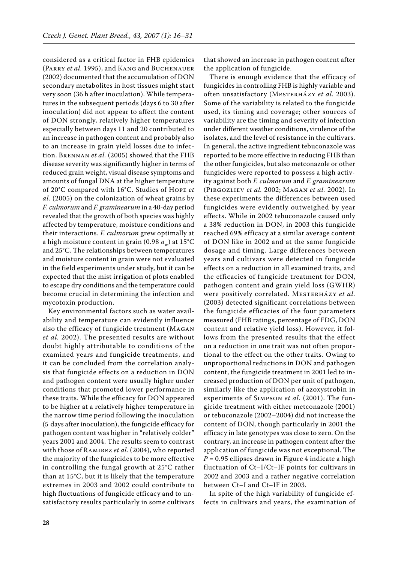considered as a critical factor in FHB epidemics (Parry *et al.* 1995), and Kang and Buchenauer (2002) documented that the accumulation of DON secondary metabolites in host tissues might start very soon (36 h after inoculation). While temperatures in the subsequent periods (days 6 to 30 after inoculation) did not appear to affect the content of DON strongly, relatively higher temperatures especially between days 11 and 20 contributed to an increase in pathogen content and probably also to an increase in grain yield losses due to infection. Brennan *et al.* (2005) showed that the FHB disease severity was significantly higher in terms of reduced grain weight, visual disease symptoms and amounts of fungal DNA at the higher temperature of 20°C compared with 16°C. Studies of Hope *et al.* (2005) on the colonization of wheat grains by *F. culmorum* and *F. graminearum* in a 40-day period revealed that the growth of both species was highly affected by temperature, moisture conditions and their interactions. *F. culmorum* grew optimally at a high moisture content in grain (0.98  $a_w$ ) at 15°C and 25°C. The relationships between temperatures and moisture content in grain were not evaluated in the field experiments under study, but it can be expected that the mist irrigation of plots enabled to escape dry conditions and the temperature could become crucial in determining the infection and mycotoxin production.

Key environmental factors such as water availability and temperature can evidently influence also the efficacy of fungicide treatment (Magan *et al.* 2002). The presented results are without doubt highly attributable to conditions of the examined years and fungicide treatments, and it can be concluded from the correlation analysis that fungicide effects on a reduction in DON and pathogen content were usually higher under conditions that promoted lower performance in these traits. While the efficacy for DON appeared to be higher at a relatively higher temperature in the narrow time period following the inoculation (5 days after inoculation), the fungicide efficacy for pathogen content was higher in "relatively colder" years 2001 and 2004. The results seem to contrast with those of Ramirez *et al.* (2004), who reported the majority of the fungicides to be more effective in controlling the fungal growth at 25°C rather than at 15°C, but it is likely that the temperature extremes in 2003 and 2002 could contribute to high fluctuations of fungicide efficacy and to unsatisfactory results particularly in some cultivars that showed an increase in pathogen content after the application of fungicide.

There is enough evidence that the efficacy of fungicides in controlling FHB is highly variable and often unsatisfactory (Mesterházy *et al.* 2003). Some of the variability is related to the fungicide used, its timing and coverage; other sources of variability are the timing and severity of infection under different weather conditions, virulence of the isolates, and the level of resistance in the cultivars. In general, the active ingredient tebuconazole was reported to be more effective in reducing FHB than the other fungicides, but also metconazole or other fungicides were reported to possess a high activity against both *F. culmorum* and *F. graminearum* (Pirgozliev *et al.* 2002; Magan *et al.* 2002). In these experiments the differences between used fungicides were evidently outweighed by year effects. While in 2002 tebuconazole caused only a 38% reduction in DON, in 2003 this fungicide reached 69% efficacy at a similar average content of DON like in 2002 and at the same fungicide dosage and timing. Large differences between years and cultivars were detected in fungicide effects on a reduction in all examined traits, and the efficacies of fungicide treatment for DON, pathogen content and grain yield loss (GWHR) were positively correlated. MESTERHÁZY et al. (2003) detected significant correlations between the fungicide efficacies of the four parameters measured (FHB ratings, percentage of FDG, DON content and relative yield loss). However, it follows from the presented results that the effect on a reduction in one trait was not often proportional to the effect on the other traits. Owing to unproportional reductions in DON and pathogen content, the fungicide treatment in 2001 led to increased production of DON per unit of pathogen, similarly like the application of azoxystrobin in experiments of Simpson *et al.* (2001). The fungicide treatment with either metconazole (2001) or tebuconazole (2002–2004) did not increase the content of DON, though particularly in 2001 the efficacy in late genotypes was close to zero. On the contrary, an increase in pathogen content after the application of fungicide was not exceptional. The  $P = 0.95$  ellipses drawn in Figure 4 indicate a high fluctuation of Ct–I/Ct–IF points for cultivars in 2002 and 2003 and a rather negative correlation between Ct–I and Ct–IF in 2003.

In spite of the high variability of fungicide effects in cultivars and years, the examination of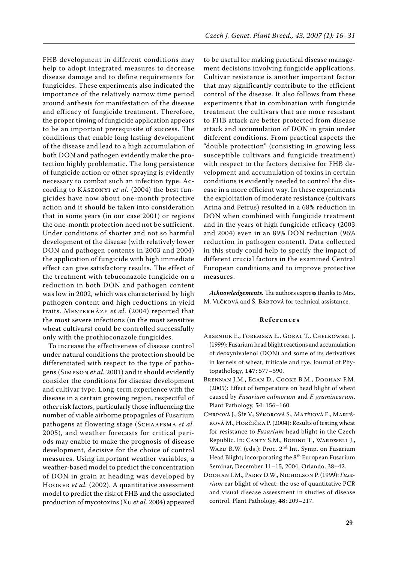FHB development in different conditions may help to adopt integrated measures to decrease disease damage and to define requirements for fungicides. These experiments also indicated the importance of the relatively narrow time period around anthesis for manifestation of the disease and efficacy of fungicide treatment. Therefore, the proper timing of fungicide application appears to be an important prerequisite of success. The conditions that enable long lasting development of the disease and lead to a high accumulation of both DON and pathogen evidently make the protection highly problematic. The long persistence of fungicide action or other spraying is evidently necessary to combat such an infection type. According to Kászonyi *et al.* (2004) the best fungicides have now about one-month protective action and it should be taken into consideration that in some years (in our case 2001) or regions the one-month protection need not be sufficient. Under conditions of shorter and not so harmful development of the disease (with relatively lower DON and pathogen contents in 2003 and 2004) the application of fungicide with high immediate effect can give satisfactory results. The effect of the treatment with tebuconazole fungicide on a reduction in both DON and pathogen content was low in 2002, which was characterised by high pathogen content and high reductions in yield traits. MESTERHÁZY et al. (2004) reported that the most severe infections (in the most sensitive wheat cultivars) could be controlled successfully only with the prothioconazole fungicides.

To increase the effectiveness of disease control under natural conditions the protection should be differentiated with respect to the type of pathogens (Simpson *et al.* 2001) and it should evidently consider the conditions for disease development and cultivar type. Long-term experience with the disease in a certain growing region, respectful of other risk factors, particularly those influencing the number of viable airborne propagules of Fusarium pathogens at flowering stage (SCHAAFSMA et al. 2005), and weather forecasts for critical periods may enable to make the prognosis of disease development, decisive for the choice of control measures. Using important weather variables, a weather-based model to predict the concentration of DON in grain at heading was developed by HOOKER *et al.* (2002). A quantitative assessment model to predict the risk of FHB and the associated production of mycotoxins (Xu *et al.* 2004) appeared to be useful for making practical disease management decisions involving fungicide applications. Cultivar resistance is another important factor that may significantly contribute to the efficient control of the disease. It also follows from these experiments that in combination with fungicide treatment the cultivars that are more resistant to FHB attack are better protected from disease attack and accumulation of DON in grain under different conditions. From practical aspects the "double protection" (consisting in growing less susceptible cultivars and fungicide treatment) with respect to the factors decisive for FHB development and accumulation of toxins in certain conditions is evidently needed to control the disease in a more efficient way. In these experiments the exploitation of moderate resistance (cultivars Arina and Petrus) resulted in a 68% reduction in DON when combined with fungicide treatment and in the years of high fungicide efficacy (2003 and 2004) even in an 89% DON reduction (96% reduction in pathogen content). Data collected in this study could help to specify the impact of different crucial factors in the examined Central European conditions and to improve protective measures.

*Acknowledgements.* The authors express thanks to Mrs. M. Vlčková and Š. Bártová for technical assistance.

#### **Re f e r e n c e s**

- Arseniuk E., Foremska E., Goral T., Chelkowski J. (1999): Fusarium head blight reactions and accumulation of deoxynivalenol (DON) and some of its derivatives in kernels of wheat, triticale and rye. Journal of Phytopathology, **147**: 577–590.
- Brennan J.M., Egan D., Cooke B.M., Doohan F.M. (2005): Effect of temperature on head blight of wheat caused by *Fusarium culmorum* and *F. graminearum*. Plant Pathology, **54**: 156–160.
- Chrpová J., Šíp V., Sýkorová S., Matějová E., Marušková M., Horčička P. (2004): Results of testing wheat for resistance to *Fusarium* head blight in the Czech Republic. In: Canty S.M., Boring T., Wardwell J., WARD R.W. (eds.): Proc. 2<sup>nd</sup> Int. Symp. on Fusarium Head Blight; incorporating the 8<sup>th</sup> European Fusarium Seminar, December 11–15, 2004, Orlando, 38–42.
- Doohan F.M., Parry D.W., Nicholson P. (1999): *Fusarium* ear blight of wheat: the use of quantitative PCR and visual disease assessment in studies of disease control. Plant Pathology, **48**: 209–217.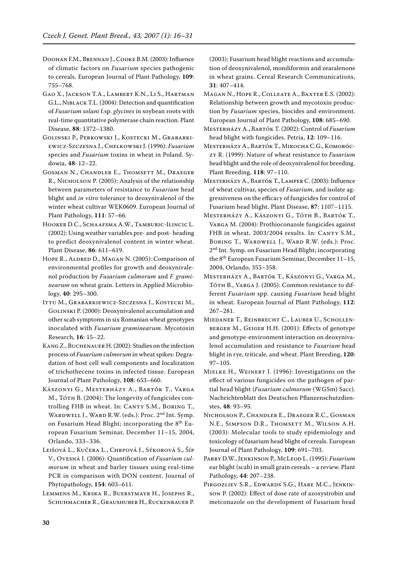- Doohan F.M., Brennan J., Cooke B.M. (2003): Influence of climatic factors on *Fusarium* species pathogenic to cereals. European Journal of Plant Pathology, **109**: 755–768.
- Gao X., Jackson T.A., Lambert K.N., Li S., Hartman G.L., Niblack T.L. (2004): Detection and quantification of *Fusarium solani* f.sp. *glycines* in soybean roots with real-time quantitative polymerase chain reaction. Plant Disease, **88**: 1372–1380.
- Golinski P., Perkowski J., Kostecki M., Grabarkiewicz-Szczesna J., Chelkowski J. (1996): *Fusarium* species and *Fusarium* toxins in wheat in Poland. Sydowia, **48**: 12–22.
- Gosman N., Chandler E., Thomsett M., Draeger R., Nicholson P. (2005): Analysis of the relationship between parameters of resistance to *Fusarium* head blight and *in vitro* tolerance to deoxynivalenol of the winter wheat cultivar WEK0609. European Journal of Plant Pathology, **111**: 57–66.
- HOOKER D.C., SCHAAFSMA A.W., TAMBURIC-ILINCIC L. (2002): Using weather variables pre- and post- heading to predict deoxynivalenol content in winter wheat. Plant Disease, **86**: 611–619.
- HOPE R., ALDRED D., MAGAN N. (2005): Comparison of environmental profiles for growth and deoxynivalenol production by *Fusarium culmorum* and *F. graminearum* on wheat grain. Letters in Applied Microbiology, **40**: 295–300.
- Ittu M., Grabarkiewicz-Szczesna J., Kostecki M., Golinski P. (2000): Deoxynivalenol accumulation and other scab symptoms in six Romanian wheat genotypes inoculated with *Fusarium graminearum.* Mycotoxin Research, **16**: 15–22.
- Kang Z., Buchenauer H. (2002): Studies on the infection process of *Fusarium culmorum* in wheat spikes: Degradation of host cell wall components and localization of trichothecene toxins in infected tissue. European Journal of Plant Pathology, **108**: 653–660.
- Kászonyi G., Mesterházy A., Bartók T., Varga М., То́тн В. (2004): The longevity of fungicides controlling FHB in wheat. In: Canty S.M., Boring T., WARDWELL J., WARD R.W. (eds.): Proc. 2<sup>nd</sup> Int. Symp. on Fusarium Head Blight; incorporating the  $8<sup>th</sup>$  European Fusarium Seminar, December 11–15, 2004, Orlando, 333–336.
- Leišová L., Kučera L., Chrpová J., Sýkorová S., Šíp V., Ovesná J. (2006): Quantification of *Fusarium culmorum* in wheat and barley tissues using real-time PCR in comparison with DON content. Journal of Phytopathology, **154**: 603–611.
- Lemmens M., Krska R., Buerstmayr H., Josephs R., Schuhmacher R., Graushuber H., Ruckenbauer P.

(2003): Fusarium head blight reactions and accumulation of deoxynivalenol, moniliformin and zearalenone in wheat grains. Cereal Research Communications, **31**: 407–414.

- Magan N., Hope R., Colleate A., Baxter E.S. (2002): Relationship between growth and mycotoxin production by *Fusarium* species, biocides and environment. European Journal of Plant Pathology, **108**: 685–690.
- Mesterházy A., Bartók T. (2002): Control of *Fusarium* head blight with fungicides. Petria, **12**: 109–116.
- Mesterházy A., Bartók T., Mirocha C.G., Komoróczy R. (1999): Nature of wheat resistance to *Fusarium*  head blight and the role of deoxynivalenol for breeding. Plant Breeding, **118**: 97–110.
- Mesterházy A., Bartók T., Lamper C. (2003): Influence of wheat cultivar, species of *Fusarium*, and isolate aggressiveness on the efficacy of fungicides for control of Fusarium head blight. Plant Disease, **87**: 1107–1115.
- Mesterházy A., Kászonyi G., Tóth B., Bartók T., Varga M. (2004): Prothioconazole fungicides against FHB in wheat, 2003/2004 results. In: CANTY S.M., Boring T., Wardwell J., Ward R.W. (eds.): Proc. 2<sup>nd</sup> Int. Symp. on Fusarium Head Blight; incorporating the 8<sup>th</sup> European Fusarium Seminar, December 11-15, 2004, Orlando, 355–358.
- Mesterházy A., Bartók T., Kászonyi G., Varga M., Tóth B., Varga J. (2005): Common resistance to different *Fusarium* spp. causing *Fusarium* head blight in wheat. European Journal of Plant Pathology, **112**: 267–281.
- Miedaner T., Reinbrecht C., Lauber U., Schollenberger M., Geiger H.H. (2001): Effects of genotype and genotype-environment interaction on deoxynivalenol accumulation and resistance to *Fusarium* head blight in rye, triticale, and wheat. Plant Breeding, **120**: 97–105.
- Mielke H., Weinert J. (1996): Investigations on the effect of various fungicides on the pathogen of partial head blight (*Fusarium culmorum* (WGSm) Sacc). Nachrichtenblatt des Deutschen Pflanzenschutzdienstes, **48**: 93–95.
- Nicholson P., Chandler E., Draeger R.C., Gosman N.E., Simpson D.R., Thomsett M., Wilson A.H. (2003): Molecular tools to study epidemiology and toxicology of fusarium head blight of cereals. European Journal of Plant Pathology, **109**: 691–703.
- Parry D.W., Jenkinson P., McLeod L. (1995): *Fusarium* ear blight (scab) in small grain cereals – a review. Plant Pathology, **44**: 207–238.
- Pirgozliev S.R., Edwards S.G., Hare M.C., Jenkinson P. (2002): Effect of dose rate of azoxystrobin and metconazole on the development of Fusarium head